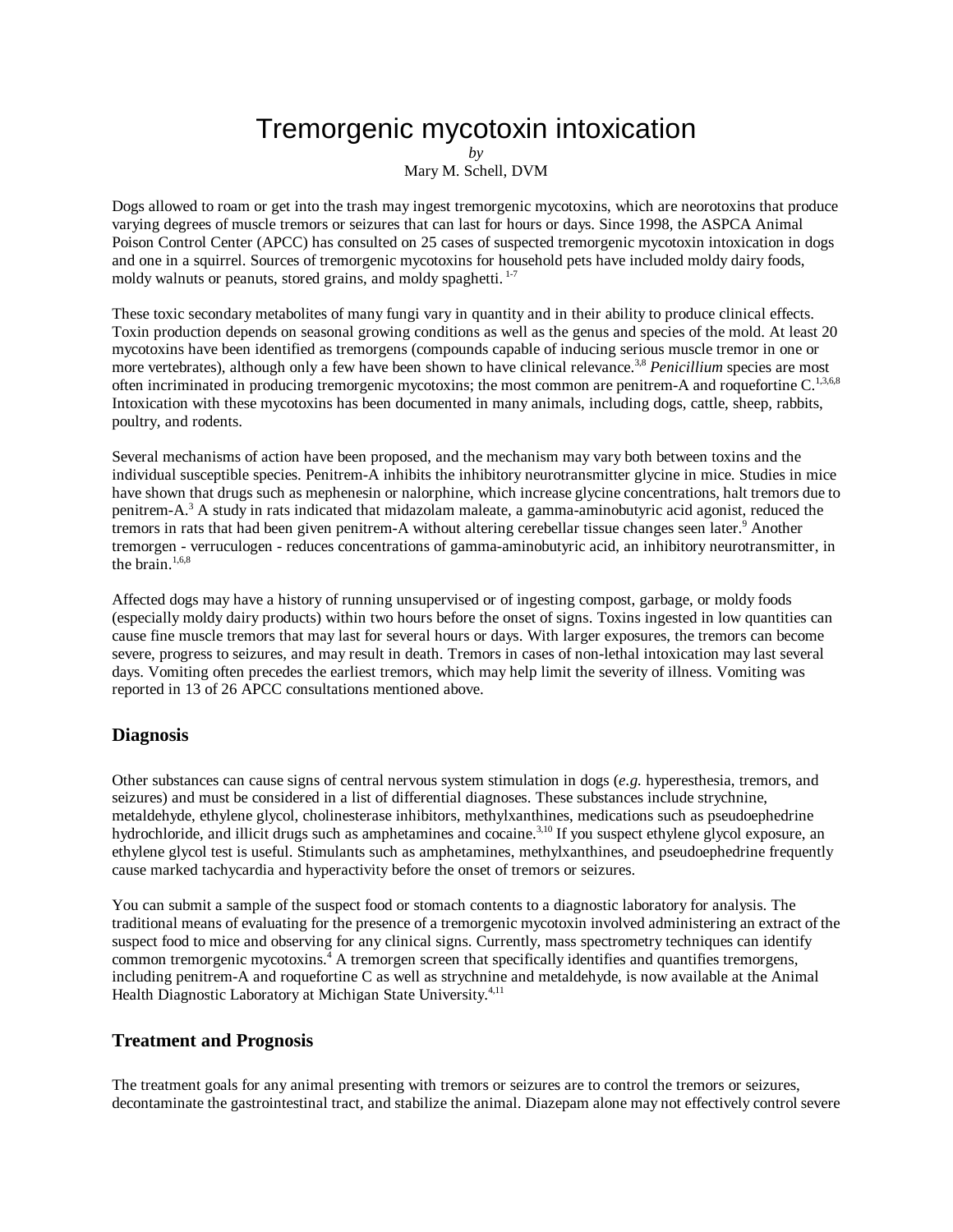## Tremorgenic mycotoxin intoxication

*by*

Mary M. Schell, DVM

Dogs allowed to roam or get into the trash may ingest tremorgenic mycotoxins, which are neorotoxins that produce varying degrees of muscle tremors or seizures that can last for hours or days. Since 1998, the ASPCA Animal Poison Control Center (APCC) has consulted on 25 cases of suspected tremorgenic mycotoxin intoxication in dogs and one in a squirrel. Sources of tremorgenic mycotoxins for household pets have included moldy dairy foods, moldy walnuts or peanuts, stored grains, and moldy spaghetti.<sup>1-7</sup>

These toxic secondary metabolites of many fungi vary in quantity and in their ability to produce clinical effects. Toxin production depends on seasonal growing conditions as well as the genus and species of the mold. At least 20 mycotoxins have been identified as tremorgens (compounds capable of inducing serious muscle tremor in one or more vertebrates), although only a few have been shown to have clinical relevance.<sup>3,8</sup> Penicillium species are most often incriminated in producing tremorgenic mycotoxins; the most common are penitrem-A and roquefortine  $C$ .<sup>1,3,6,8</sup> Intoxication with these mycotoxins has been documented in many animals, including dogs, cattle, sheep, rabbits, poultry, and rodents.

Several mechanisms of action have been proposed, and the mechanism may vary both between toxins and the individual susceptible species. Penitrem-A inhibits the inhibitory neurotransmitter glycine in mice. Studies in mice have shown that drugs such as mephenesin or nalorphine, which increase glycine concentrations, halt tremors due to penitrem-A.<sup>3</sup> A study in rats indicated that midazolam maleate, a gamma-aminobutyric acid agonist, reduced the tremors in rats that had been given penitrem-A without altering cerebellar tissue changes seen later. <sup>9</sup> Another tremorgen - verruculogen - reduces concentrations of gamma-aminobutyric acid, an inhibitory neurotransmitter, in the brain.<sup>1,6,8</sup>

Affected dogs may have a history of running unsupervised or of ingesting compost, garbage, or moldy foods (especially moldy dairy products) within two hours before the onset of signs. Toxins ingested in low quantities can cause fine muscle tremors that may last for several hours or days. With larger exposures, the tremors can become severe, progress to seizures, and may result in death. Tremors in cases of non-lethal intoxication may last several days. Vomiting often precedes the earliest tremors, which may help limit the severity of illness. Vomiting was reported in 13 of 26 APCC consultations mentioned above.

## **Diagnosis**

Other substances can cause signs of central nervous system stimulation in dogs (*e.g.* hyperesthesia, tremors, and seizures) and must be considered in a list of differential diagnoses. These substances include strychnine, metaldehyde, ethylene glycol, cholinesterase inhibitors, methylxanthines, medications such as pseudoephedrine hydrochloride, and illicit drugs such as amphetamines and cocaine.<sup>3,10</sup> If you suspect ethylene glycol exposure, an ethylene glycol test is useful. Stimulants such as amphetamines, methylxanthines, and pseudoephedrine frequently cause marked tachycardia and hyperactivity before the onset of tremors or seizures.

You can submit a sample of the suspect food or stomach contents to a diagnostic laboratory for analysis. The traditional means of evaluating for the presence of a tremorgenic mycotoxin involved administering an extract of the suspect food to mice and observing for any clinical signs. Currently, mass spectrometry techniques can identify common tremorgenic mycotoxins.<sup>4</sup> A tremorgen screen that specifically identifies and quantifies tremorgens, including penitrem-A and roquefortine C as well as strychnine and metaldehyde, is now available at the Animal Health Diagnostic Laboratory at Michigan State University.<sup>4,11</sup>

## **Treatment and Prognosis**

The treatment goals for any animal presenting with tremors or seizures are to control the tremors or seizures, decontaminate the gastrointestinal tract, and stabilize the animal. Diazepam alone may not effectively control severe